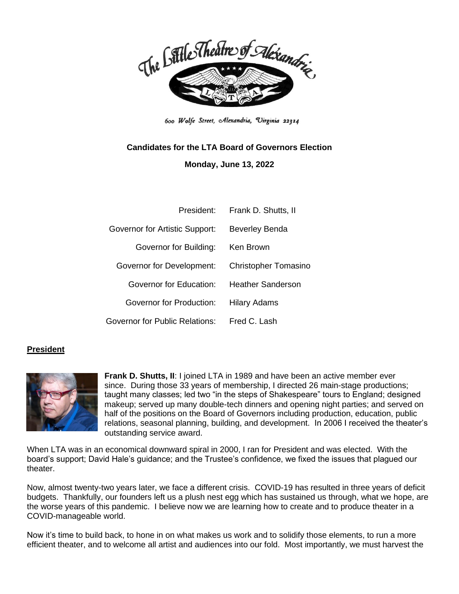

600 Wolfe Street, Alexandria, Uirginia 22314

# **Candidates for the LTA Board of Governors Election Monday, June 13, 2022**

|                                | President: Frank D. Shutts, II |
|--------------------------------|--------------------------------|
| Governor for Artistic Support: | <b>Beverley Benda</b>          |
| Governor for Building:         | Ken Brown                      |
| Governor for Development:      | <b>Christopher Tomasino</b>    |
| Governor for Education:        | <b>Heather Sanderson</b>       |
| Governor for Production:       | <b>Hilary Adams</b>            |
| Governor for Public Relations: | Fred C. Lash                   |

# **President**



**Frank D. Shutts, II**: I joined LTA in 1989 and have been an active member ever since. During those 33 years of membership, I directed 26 main-stage productions; taught many classes; led two "in the steps of Shakespeare" tours to England; designed makeup; served up many double-tech dinners and opening night parties; and served on half of the positions on the Board of Governors including production, education, public relations, seasonal planning, building, and development. In 2006 I received the theater's outstanding service award.

When LTA was in an economical downward spiral in 2000, I ran for President and was elected. With the board's support; David Hale's guidance; and the Trustee's confidence, we fixed the issues that plagued our theater.

Now, almost twenty-two years later, we face a different crisis. COVID-19 has resulted in three years of deficit budgets. Thankfully, our founders left us a plush nest egg which has sustained us through, what we hope, are the worse years of this pandemic. I believe now we are learning how to create and to produce theater in a COVID-manageable world.

Now it's time to build back, to hone in on what makes us work and to solidify those elements, to run a more efficient theater, and to welcome all artist and audiences into our fold. Most importantly, we must harvest the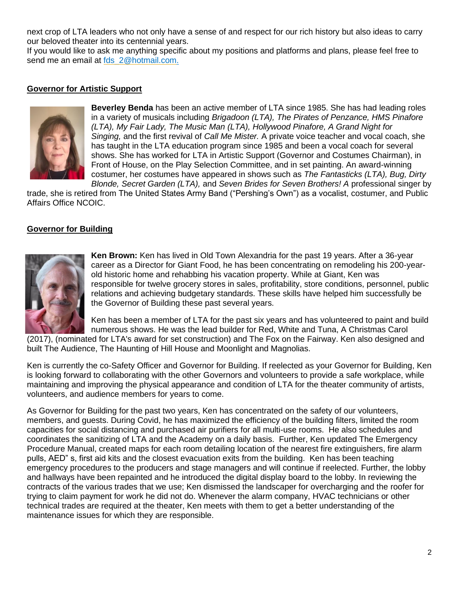next crop of LTA leaders who not only have a sense of and respect for our rich history but also ideas to carry our beloved theater into its centennial years.

If you would like to ask me anything specific about my positions and platforms and plans, please feel free to send me an email at fds 2@hotmail.com.

## **Governor for Artistic Support**



**Beverley Benda** has been an active member of LTA since 1985. She has had leading roles in a variety of musicals including *Brigadoon (LTA), The Pirates of Penzance, HMS Pinafore (LTA), My Fair Lady, The Music Man (LTA), Hollywood Pinafore, A Grand Night for Singing,* and the first revival of *Call Me Mister.* A private voice teacher and vocal coach, she has taught in the LTA education program since 1985 and been a vocal coach for several shows. She has worked for LTA in Artistic Support (Governor and Costumes Chairman), in Front of House, on the Play Selection Committee, and in set painting. An award-winning costumer, her costumes have appeared in shows such as *The Fantasticks (LTA), Bug, Dirty Blonde, Secret Garden (LTA),* and *Seven Brides for Seven Brothers! A* professional singer by

trade, she is retired from The United States Army Band ("Pershing's Own") as a vocalist, costumer, and Public Affairs Office NCOIC.

#### **Governor for Building**



**Ken Brown:** Ken has lived in Old Town Alexandria for the past 19 years. After a 36-year career as a Director for Giant Food, he has been concentrating on remodeling his 200-yearold historic home and rehabbing his vacation property. While at Giant, Ken was responsible for twelve grocery stores in sales, profitability, store conditions, personnel, public relations and achieving budgetary standards. These skills have helped him successfully be the Governor of Building these past several years.

Ken has been a member of LTA for the past six years and has volunteered to paint and build numerous shows. He was the lead builder for Red, White and Tuna, A Christmas Carol

(2017), (nominated for LTA's award for set construction) and The Fox on the Fairway. Ken also designed and built The Audience, The Haunting of Hill House and Moonlight and Magnolias.

Ken is currently the co-Safety Officer and Governor for Building. If reelected as your Governor for Building, Ken is looking forward to collaborating with the other Governors and volunteers to provide a safe workplace, while maintaining and improving the physical appearance and condition of LTA for the theater community of artists, volunteers, and audience members for years to come.

As Governor for Building for the past two years, Ken has concentrated on the safety of our volunteers, members, and guests. During Covid, he has maximized the efficiency of the building filters, limited the room capacities for social distancing and purchased air purifiers for all multi-use rooms. He also schedules and coordinates the sanitizing of LTA and the Academy on a daily basis. Further, Ken updated The Emergency Procedure Manual, created maps for each room detailing location of the nearest fire extinguishers, fire alarm pulls, AED" s, first aid kits and the closest evacuation exits from the building. Ken has been teaching emergency procedures to the producers and stage managers and will continue if reelected. Further, the lobby and hallways have been repainted and he introduced the digital display board to the lobby. In reviewing the contracts of the various trades that we use; Ken dismissed the landscaper for overcharging and the roofer for trying to claim payment for work he did not do. Whenever the alarm company, HVAC technicians or other technical trades are required at the theater, Ken meets with them to get a better understanding of the maintenance issues for which they are responsible.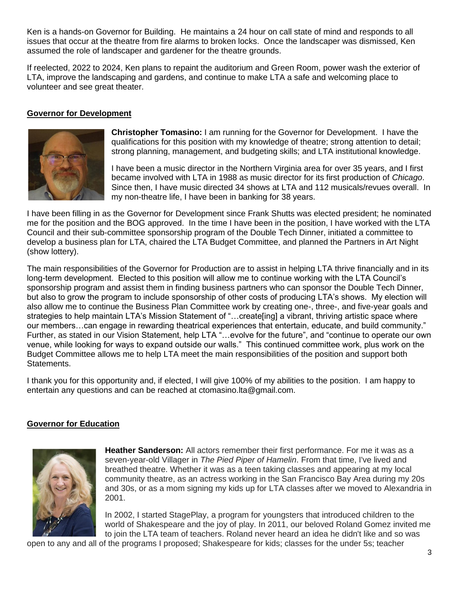Ken is a hands-on Governor for Building. He maintains a 24 hour on call state of mind and responds to all issues that occur at the theatre from fire alarms to broken locks. Once the landscaper was dismissed, Ken assumed the role of landscaper and gardener for the theatre grounds.

If reelected, 2022 to 2024, Ken plans to repaint the auditorium and Green Room, power wash the exterior of LTA, improve the landscaping and gardens, and continue to make LTA a safe and welcoming place to volunteer and see great theater.

## **Governor for Development**



**Christopher Tomasino:** I am running for the Governor for Development. I have the qualifications for this position with my knowledge of theatre; strong attention to detail; strong planning, management, and budgeting skills; and LTA institutional knowledge.

I have been a music director in the Northern Virginia area for over 35 years, and I first became involved with LTA in 1988 as music director for its first production of *Chicago*. Since then, I have music directed 34 shows at LTA and 112 musicals/revues overall. In my non-theatre life, I have been in banking for 38 years.

I have been filling in as the Governor for Development since Frank Shutts was elected president; he nominated me for the position and the BOG approved. In the time I have been in the position, I have worked with the LTA Council and their sub-committee sponsorship program of the Double Tech Dinner, initiated a committee to develop a business plan for LTA, chaired the LTA Budget Committee, and planned the Partners in Art Night (show lottery).

The main responsibilities of the Governor for Production are to assist in helping LTA thrive financially and in its long-term development. Elected to this position will allow me to continue working with the LTA Council's sponsorship program and assist them in finding business partners who can sponsor the Double Tech Dinner, but also to grow the program to include sponsorship of other costs of producing LTA's shows. My election will also allow me to continue the Business Plan Committee work by creating one-, three-, and five-year goals and strategies to help maintain LTA's Mission Statement of "…create[ing] a vibrant, thriving artistic space where our members…can engage in rewarding theatrical experiences that entertain, educate, and build community." Further, as stated in our Vision Statement, help LTA "…evolve for the future", and "continue to operate our own venue, while looking for ways to expand outside our walls." This continued committee work, plus work on the Budget Committee allows me to help LTA meet the main responsibilities of the position and support both Statements.

I thank you for this opportunity and, if elected, I will give 100% of my abilities to the position. I am happy to entertain any questions and can be reached at ctomasino.lta@gmail.com.

#### **Governor for Education**



**Heather Sanderson:** All actors remember their first performance. For me it was as a seven-year-old Villager in *The Pied Piper of Hamelin*. From that time, I've lived and breathed theatre. Whether it was as a teen taking classes and appearing at my local community theatre, as an actress working in the San Francisco Bay Area during my 20s and 30s, or as a mom signing my kids up for LTA classes after we moved to Alexandria in 2001.

In 2002, I started StagePlay, a program for youngsters that introduced children to the world of Shakespeare and the joy of play. In 2011, our beloved Roland Gomez invited me to join the LTA team of teachers. Roland never heard an idea he didn't like and so was

open to any and all of the programs I proposed; Shakespeare for kids; classes for the under 5s; teacher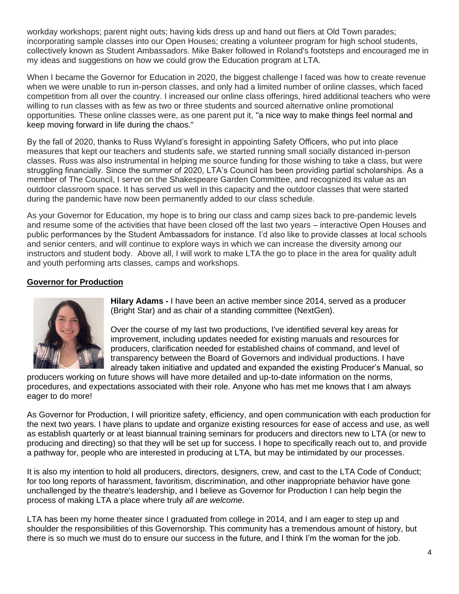workday workshops; parent night outs; having kids dress up and hand out fliers at Old Town parades; incorporating sample classes into our Open Houses; creating a volunteer program for high school students, collectively known as Student Ambassadors. Mike Baker followed in Roland's footsteps and encouraged me in my ideas and suggestions on how we could grow the Education program at LTA.

When I became the Governor for Education in 2020, the biggest challenge I faced was how to create revenue when we were unable to run in-person classes, and only had a limited number of online classes, which faced competition from all over the country. I increased our online class offerings, hired additional teachers who were willing to run classes with as few as two or three students and sourced alternative online promotional opportunities. These online classes were, as one parent put it, "a nice way to make things feel normal and keep moving forward in life during the chaos."

By the fall of 2020, thanks to Russ Wyland's foresight in appointing Safety Officers, who put into place measures that kept our teachers and students safe, we started running small socially distanced in-person classes. Russ was also instrumental in helping me source funding for those wishing to take a class, but were struggling financially. Since the summer of 2020, LTA's Council has been providing partial scholarships. As a member of The Council, I serve on the Shakespeare Garden Committee, and recognized its value as an outdoor classroom space. It has served us well in this capacity and the outdoor classes that were started during the pandemic have now been permanently added to our class schedule.

As your Governor for Education, my hope is to bring our class and camp sizes back to pre-pandemic levels and resume some of the activities that have been closed off the last two years – interactive Open Houses and public performances by the Student Ambassadors for instance. I'd also like to provide classes at local schools and senior centers, and will continue to explore ways in which we can increase the diversity among our instructors and student body. Above all, I will work to make LTA the go to place in the area for quality adult and youth performing arts classes, camps and workshops.

# **Governor for Production**



**Hilary Adams -** I have been an active member since 2014, served as a producer (Bright Star) and as chair of a standing committee (NextGen).

Over the course of my last two productions, I've identified several key areas for improvement, including updates needed for existing manuals and resources for producers, clarification needed for established chains of command, and level of transparency between the Board of Governors and individual productions. I have already taken initiative and updated and expanded the existing Producer's Manual, so

producers working on future shows will have more detailed and up-to-date information on the norms, procedures, and expectations associated with their role. Anyone who has met me knows that I am always eager to do more!

As Governor for Production, I will prioritize safety, efficiency, and open communication with each production for the next two years. I have plans to update and organize existing resources for ease of access and use, as well as establish quarterly or at least biannual training seminars for producers and directors new to LTA (or new to producing and directing) so that they will be set up for success. I hope to specifically reach out to, and provide a pathway for, people who are interested in producing at LTA, but may be intimidated by our processes.

It is also my intention to hold all producers, directors, designers, crew, and cast to the LTA Code of Conduct; for too long reports of harassment, favoritism, discrimination, and other inappropriate behavior have gone unchallenged by the theatre's leadership, and I believe as Governor for Production I can help begin the process of making LTA a place where truly *all are welcome*.

LTA has been my home theater since I graduated from college in 2014, and I am eager to step up and shoulder the responsibilities of this Governorship. This community has a tremendous amount of history, but there is so much we must do to ensure our success in the future, and I think I'm the woman for the job.